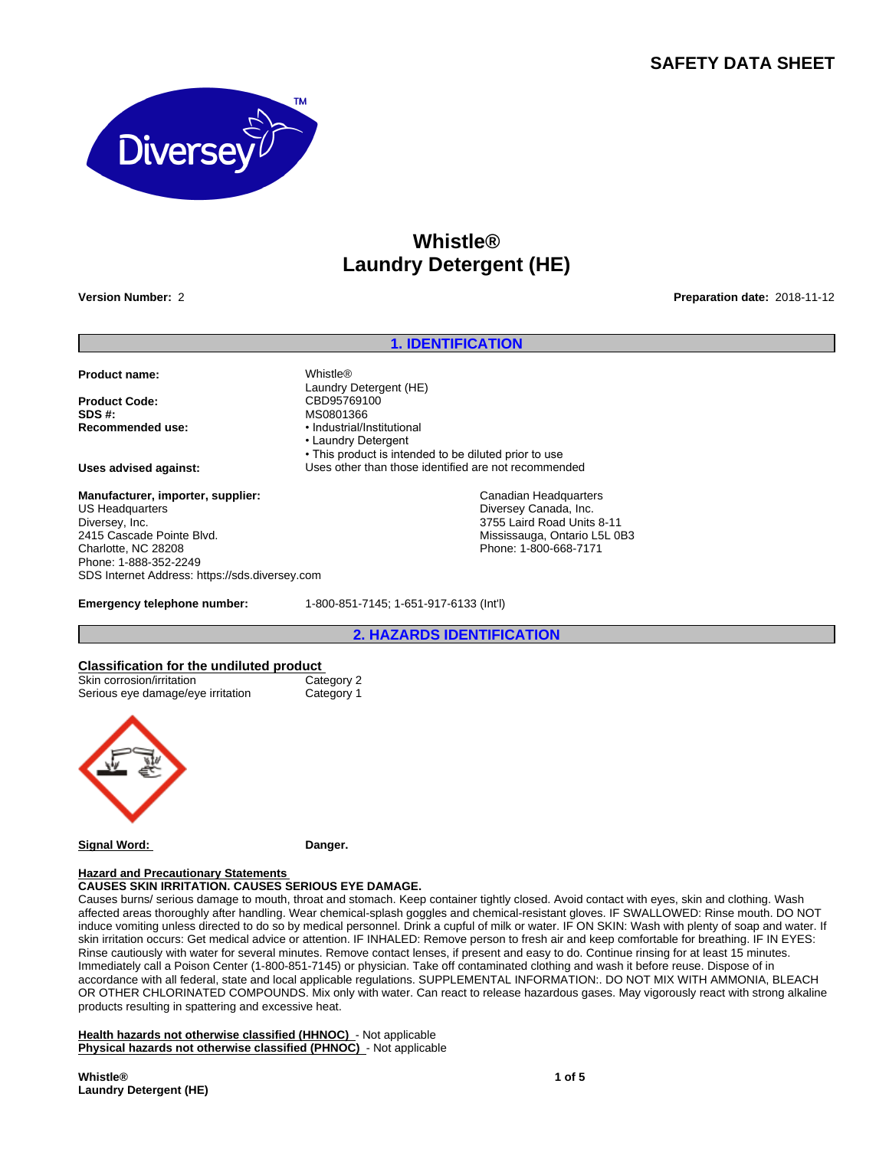# **SAFETY DATA SHEET**



# **Whistle® Laundry Detergent (HE)**

**Version Number:** 2 **Preparation date:** 2018-11-12

### **1. IDENTIFICATION**

• This product is intended to be diluted prior to use

**Product name:** Whistle®

**Product Code:** CBD95769100<br> **SDS #:** MS0801366 Recommended use: • **•** Industrial/Institutional

**Uses advised against:** Uses other than those identified are not recommended

**Manufacturer, importer, supplier:** US Headquarters Diversey, Inc. 2415 Cascade Pointe Blvd. Charlotte, NC 28208 Phone: 1-888-352-2249 SDS Internet Address: https://sds.diversey.com

**Emergency telephone number:** 1-800-851-7145; 1-651-917-6133 (Int'l)

Laundry Detergent (HE)

• Laundry Detergent

**SDS #:** MS0801366

**2. HAZARDS IDENTIFICATION**

Canadian Headquarters Diversey Canada, Inc. 3755 Laird Road Units 8-11 Mississauga, Ontario L5L 0B3 Phone: 1-800-668-7171

#### **Classification for the undiluted product**

| Skin corrosion/irritation         | Category 2 |
|-----------------------------------|------------|
| Serious eye damage/eye irritation | Category 1 |



#### **Hazard and Precautionary Statements**

**CAUSES SKIN IRRITATION. CAUSES SERIOUS EYE DAMAGE.**

Causes burns/ serious damage to mouth, throat and stomach. Keep container tightly closed. Avoid contact with eyes, skin and clothing. Wash affected areas thoroughly after handling. Wear chemical-splash goggles and chemical-resistant gloves. IF SWALLOWED: Rinse mouth. DO NOT induce vomiting unless directed to do so by medical personnel. Drink a cupful of milk or water. IF ON SKIN: Wash with plenty of soap and water. If skin irritation occurs: Get medical advice or attention. IF INHALED: Remove person to fresh air and keep comfortable for breathing. IF IN EYES: Rinse cautiously with water for several minutes. Remove contact lenses, if present and easy to do. Continue rinsing for at least 15 minutes. Immediately call a Poison Center (1-800-851-7145) or physician. Take off contaminated clothing and wash it before reuse. Dispose of in accordance with all federal, state and local applicable regulations. SUPPLEMENTAL INFORMATION:. DO NOT MIX WITH AMMONIA, BLEACH OR OTHER CHLORINATED COMPOUNDS. Mix only with water. Can react to release hazardous gases. May vigorously react with strong alkaline products resulting in spattering and excessive heat.

**Health hazards not otherwise classified (HHNOC)** - Not applicable **Physical hazards not otherwise classified (PHNOC)** - Not applicable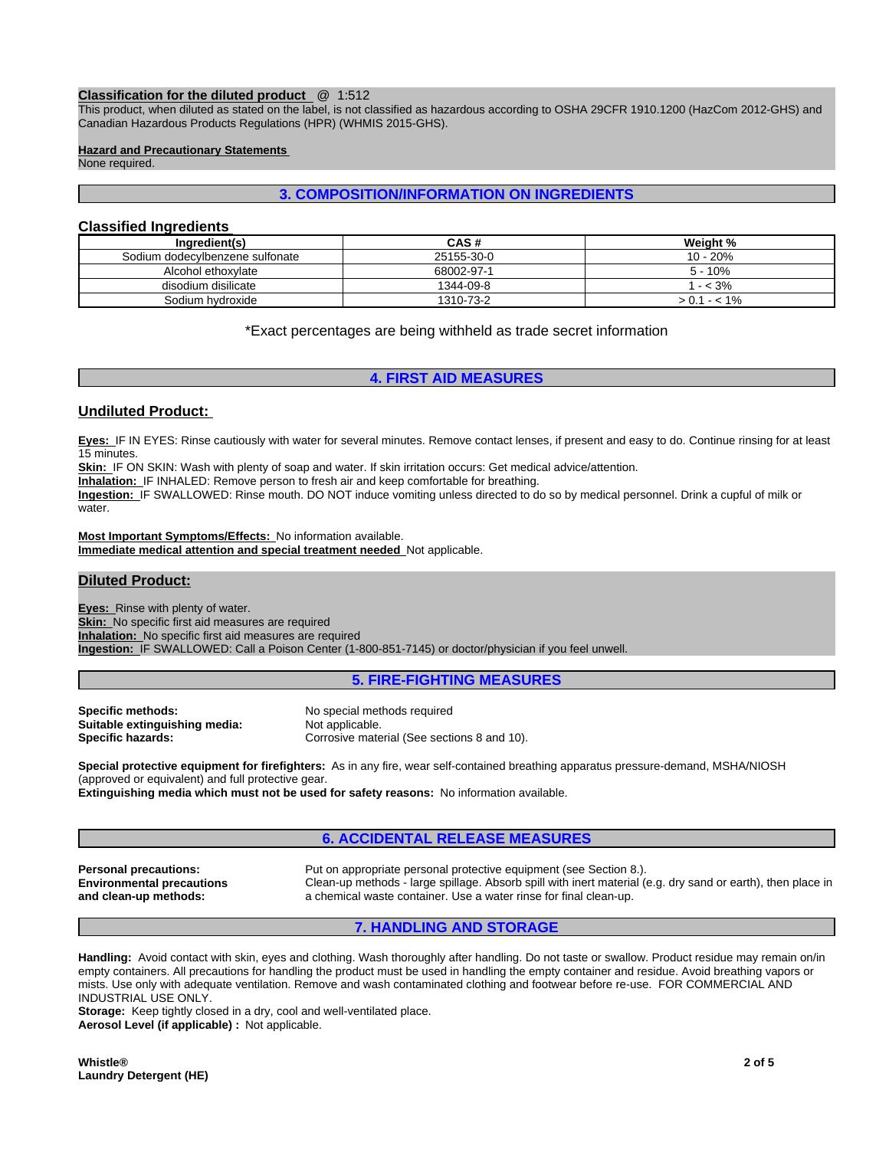#### **Classification for the diluted product** @ 1:512

This product, when diluted as stated on the label, is not classified as hazardous according to OSHA 29CFR 1910.1200 (HazCom 2012-GHS) and Canadian Hazardous Products Regulations (HPR) (WHMIS 2015-GHS).

#### **Hazard and Precautionary Statements**

None required.

## **3. COMPOSITION/INFORMATION ON INGREDIENTS**

## **Classified Ingredients**

| Ingredient(s)                   | CAS #      | Weight %  |
|---------------------------------|------------|-----------|
| Sodium dodecvlbenzene sulfonate | 25155-30-0 | 10 - 20%  |
| Alcohol ethoxylate              | 68002-97-1 | 5 - 10%   |
| disodium disilicate             | 1344-09-8  | $- < 3\%$ |
| Sodium hvdroxide                | 1310-73-2  | 1 - < 1%  |

\*Exact percentages are being withheld as trade secret information

## **4. FIRST AID MEASURES**

### **Undiluted Product:**

**Eyes:** IF IN EYES: Rinse cautiously with water for several minutes. Remove contact lenses, if present and easy to do. Continue rinsing for at least 15 minutes.

**Skin:** IF ON SKIN: Wash with plenty of soap and water. If skin irritation occurs: Get medical advice/attention.

**Inhalation:** IF INHALED: Remove person to fresh air and keep comfortable for breathing.

**Ingestion:** IF SWALLOWED: Rinse mouth. DO NOT induce vomiting unless directed to do so by medical personnel. Drink a cupful of milk or water.

**Most Important Symptoms/Effects:** No information available. **Immediate medical attention and special treatment needed** Not applicable.

## **Diluted Product:**

**Eyes:** Rinse with plenty of water. **Skin:** No specific first aid measures are required **Inhalation:** No specific first aid measures are required **Ingestion:** IF SWALLOWED: Call a Poison Center (1-800-851-7145) or doctor/physician if you feel unwell.

**5. FIRE-FIGHTING MEASURES**

**Specific methods:** No special methods required<br> **Suitable extinguishing media:** Not applicable. Suitable extinguishing media:

**Specific hazards:** Corrosive material (See sections 8 and 10).

**Special protective equipment for firefighters:** As in any fire, wear self-contained breathing apparatus pressure-demand, MSHA/NIOSH (approved or equivalent) and full protective gear.

**Extinguishing media which must not be used for safety reasons:** No information available.

## **6. ACCIDENTAL RELEASE MEASURES**

**Environmental precautions and clean-up methods:**

**Personal precautions:** Put on appropriate personal protective equipment (see Section 8.). Clean-up methods - large spillage. Absorb spill with inert material (e.g. dry sand or earth), then place in a chemical waste container. Use a water rinse for final clean-up.

## **7. HANDLING AND STORAGE**

**Handling:** Avoid contact with skin, eyes and clothing. Wash thoroughly after handling. Do not taste or swallow. Product residue may remain on/in empty containers. All precautions for handling the product must be used in handling the empty container and residue. Avoid breathing vapors or mists. Use only with adequate ventilation. Remove and wash contaminated clothing and footwear before re-use. FOR COMMERCIAL AND INDUSTRIAL USE ONLY.

**Storage:** Keep tightly closed in a dry, cool and well-ventilated place. **Aerosol Level (if applicable) :** Not applicable.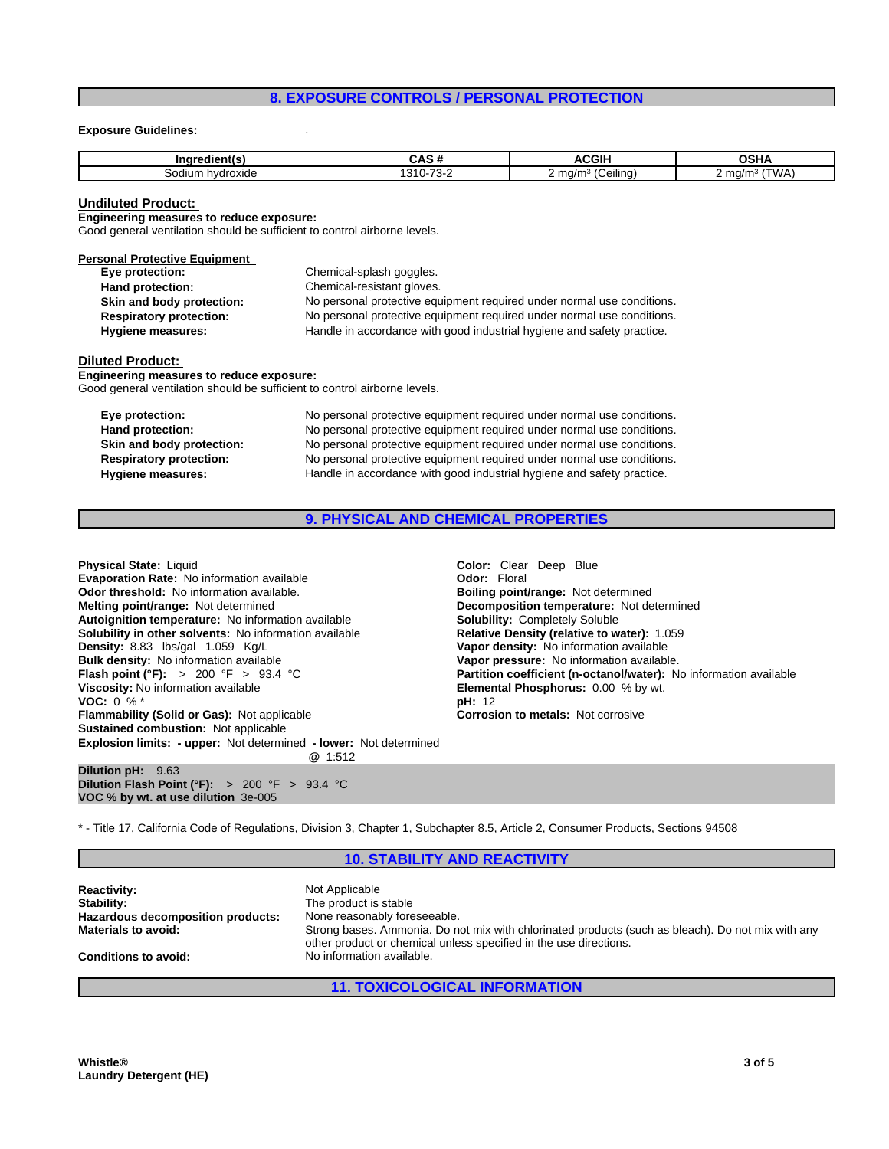## **8. EXPOSURE CONTROLS / PERSONAL PROTECTION**

#### **Exposure Guidelines:** .

| <b>Ingredient(s)</b> |             | $\sim$ $\sim$ $\sim$ $\sim$<br>- 11 | ៱៰៶៲៱<br>וטנ   |
|----------------------|-------------|-------------------------------------|----------------|
| hvdroxide<br>odium   | ົົ້າ<br>. . | $\cdots$<br>. .<br>eilina<br>ma/m   | `WA<br>് m∩/mാ |

#### **Undiluted Product:**

**Engineering measures to reduce exposure:**

Good general ventilation should be sufficient to control airborne levels.

| <b>Personal Protective Equipment</b> |                                                                        |
|--------------------------------------|------------------------------------------------------------------------|
| Eye protection:                      | Chemical-splash goggles.                                               |
| Hand protection:                     | Chemical-resistant gloves.                                             |
| Skin and body protection:            | No personal protective equipment required under normal use conditions. |
| <b>Respiratory protection:</b>       | No personal protective equipment required under normal use conditions. |
| <b>Hygiene measures:</b>             | Handle in accordance with good industrial hygiene and safety practice. |

#### **Diluted Product:**

**Engineering measures to reduce exposure:**

Good general ventilation should be sufficient to control airborne levels.

| Eye protection:                | No personal protective equipment required under normal use conditions. |
|--------------------------------|------------------------------------------------------------------------|
| Hand protection:               | No personal protective equipment required under normal use conditions. |
| Skin and body protection:      | No personal protective equipment required under normal use conditions. |
| <b>Respiratory protection:</b> | No personal protective equipment required under normal use conditions. |
| Hygiene measures:              | Handle in accordance with good industrial hygiene and safety practice. |

## **9. PHYSICAL AND CHEMICAL PROPERTIES**

| <b>Physical State: Liquid</b>                                                                                                         | <b>Color:</b> Clear Deep Blue          |
|---------------------------------------------------------------------------------------------------------------------------------------|----------------------------------------|
| <b>Evaporation Rate: No information available</b>                                                                                     | <b>Odor: Floral</b>                    |
| <b>Odor threshold:</b> No information available.                                                                                      | Boiling point/range: Not deter         |
| Melting point/range: Not determined                                                                                                   | Decomposition temperature:             |
| Autoignition temperature: No information available                                                                                    | <b>Solubility: Completely Soluble</b>  |
| Solubility in other solvents: No information available                                                                                | <b>Relative Density (relative to w</b> |
| Density: 8.83 lbs/gal 1.059 Kg/L                                                                                                      | Vapor density: No information          |
| Bulk density: No information available                                                                                                | Vapor pressure: No information         |
| <b>Flash point (°F):</b> > 200 °F > 93.4 °C                                                                                           | <b>Partition coefficient (n-octand</b> |
| Viscosity: No information available                                                                                                   | Elemental Phosphorus: 0.00             |
| <b>VOC:</b> 0 % $*$                                                                                                                   | <b>pH</b> : 12                         |
| <b>Flammability (Solid or Gas):</b> Not applicable                                                                                    | <b>Corrosion to metals: Not corr</b>   |
| <b>Sustained combustion: Not applicable</b>                                                                                           |                                        |
| Explosion limits: - upper: Not determined - lower: Not determined<br>@ 1:512                                                          |                                        |
| Dilution pH: 9.63<br>Dilution Flash Point ( $\degree$ F): > 200 $\degree$ F > 93.4 $\degree$ C<br>VOC % by wt. at use dilution 3e-005 |                                        |

**Color:** Clear Deep Blue **Odor: Floral Boiling point/range: Not determined Decomposition temperature:** Not determined **Solubility: Completely Soluble Relative Density (relative to water):** 1.059 **Vapor density:** No information available **Vapor pressure:** No information available. **Partition coefficient (n-octanol/water):** No information available **Elemental Phosphorus:** 0.00 % by wt.<br>**pH:** 12 **Corrosion to metals: Not corrosive** 

\* - Title 17, California Code of Regulations, Division 3, Chapter 1, Subchapter 8.5, Article 2, Consumer Products, Sections 94508

### **10. STABILITY AND REACTIVITY**

| <b>Reactivity:</b><br>Stability:  | Not Applicable<br>The product is stable                                                                                                                                |
|-----------------------------------|------------------------------------------------------------------------------------------------------------------------------------------------------------------------|
| Hazardous decomposition products: |                                                                                                                                                                        |
|                                   | None reasonably foreseeable.                                                                                                                                           |
| <b>Materials to avoid:</b>        | Strong bases. Ammonia. Do not mix with chlorinated products (such as bleach). Do not mix with any<br>other product or chemical unless specified in the use directions. |
| <b>Conditions to avoid:</b>       | No information available.                                                                                                                                              |

### **11. TOXICOLOGICAL INFORMATION**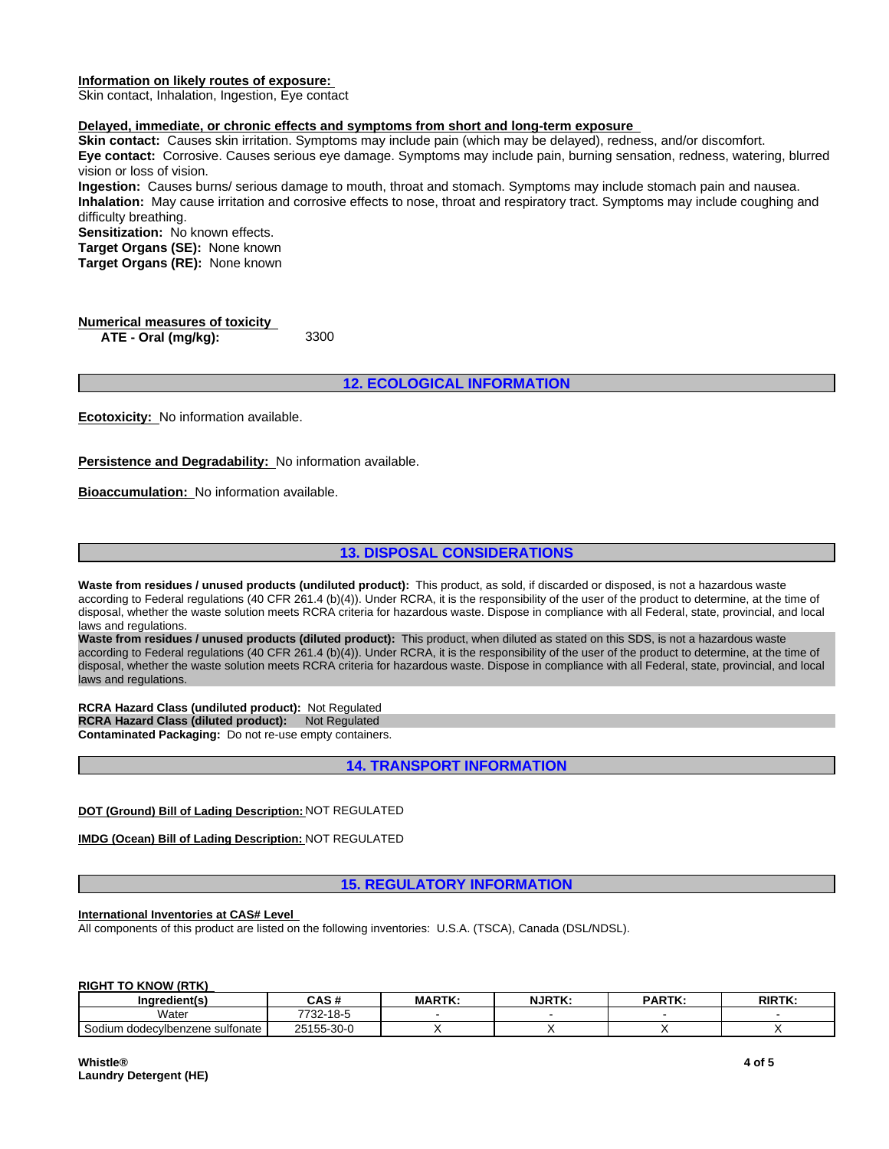#### **Information on likely routes of exposure:**

Skin contact, Inhalation, Ingestion, Eye contact

#### **Delayed, immediate, or chronic effects and symptoms from short and long-term exposure**

**Skin contact:** Causes skin irritation. Symptoms may include pain (which may be delayed), redness, and/or discomfort. **Eye contact:** Corrosive. Causes serious eye damage. Symptoms may include pain, burning sensation, redness, watering, blurred vision or loss of vision.

**Ingestion:** Causes burns/ serious damage to mouth, throat and stomach. Symptoms may include stomach pain and nausea. **Inhalation:** May cause irritation and corrosive effects to nose, throat and respiratory tract. Symptoms may include coughing and difficulty breathing.

**Sensitization:** No known effects.

**Target Organs (SE):** None known **Target Organs (RE):** None known

**Numerical measures of toxicity ATE - Oral (mg/kg):** 3300

**12. ECOLOGICAL INFORMATION**

**Ecotoxicity:** No information available.

**Persistence and Degradability:** No information available.

**Bioaccumulation:** No information available.

## **13. DISPOSAL CONSIDERATIONS**

**Waste from residues / unused products (undiluted product):** This product, as sold, if discarded or disposed, is not a hazardous waste according to Federal regulations (40 CFR 261.4 (b)(4)). Under RCRA, it is the responsibility of the user of the product to determine, at the time of disposal, whether the waste solution meets RCRA criteria for hazardous waste. Dispose in compliance with all Federal, state, provincial, and local laws and regulations.

**Waste from residues / unused products (diluted product):** This product, when diluted as stated on this SDS, is not a hazardous waste according to Federal regulations (40 CFR 261.4 (b)(4)). Under RCRA, it is the responsibility of the user of the product to determine, at the time of disposal, whether the waste solution meets RCRA criteria for hazardous waste. Dispose in compliance with all Federal, state, provincial, and local laws and regulations.

**RCRA Hazard Class (undiluted product):** Not Regulated **RCRA Hazard Class (diluted product): Not Regulated Contaminated Packaging:** Do not re-use empty containers.

**14. TRANSPORT INFORMATION**

#### **DOT (Ground) Bill of Lading Description:** NOT REGULATED

**IMDG (Ocean) Bill of Lading Description:** NOT REGULATED

**15. REGULATORY INFORMATION**

#### **International Inventories at CAS# Level**

All components of this product are listed on the following inventories: U.S.A. (TSCA), Canada (DSL/NDSL).

#### **RIGHT TO KNOW (RTK)**

| <br>Inaredient(s<br>.nar              | .<br>A                                                 | <b>MARTK</b> | <b>NJRTK</b> | <b>DADTK</b><br>71111 | <b>RIRTK:</b> |
|---------------------------------------|--------------------------------------------------------|--------------|--------------|-----------------------|---------------|
| Water                                 | $\overline{A}$ $\overline{C}$<br>7700<br>- 22 ،<br>ျပင |              |              |                       |               |
| Sodium<br>า dodecvlbenzene sulfonate_ | $\sim$ $\sim$<br>OEAEE<br>25155-30-0                   |              |              |                       |               |